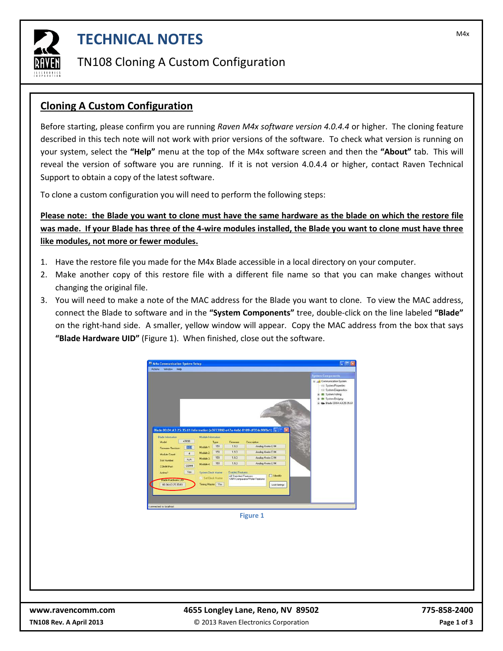

## **TECHNICAL NOTES TECHNICAL NOTES**

### TN108 Cloning A Custom Configuration

#### **Cloning A Custom Configuration**

Before starting, please confirm you are running *Raven M4x software version 4.0.4.4* or higher. The cloning feature described in this tech note will not work with prior versions of the software. To check what version is running on your system, select the **"Help"** menu at the top of the M4x software screen and then the **"About"** tab. This will reveal the version of software you are running. If it is not version 4.0.4.4 or higher, contact Raven Technical Support to obtain a copy of the latest software.

To clone a custom configuration you will need to perform the following steps:

**Please note: the Blade you want to clone must have the same hardware as the blade on which the restore file was made. If your Blade has three of the 4-wire modules installed, the Blade you want to clone must have three like modules, not more or fewer modules.**

- 1. Have the restore file you made for the M4x Blade accessible in a local directory on your computer.
- 2. Make another copy of this restore file with a different file name so that you can make changes without changing the original file.
- 3. You will need to make a note of the MAC address for the Blade you want to clone. To view the MAC address, connect the Blade to software and in the **"System Components"** tree, double-click on the line labeled **"Blade"** on the right-hand side. A smaller, yellow window will appear. Copy the MAC address from the box that says **"Blade Hardware UID"** (Figure 1). When finished, close out the software.

|                                         |                |                                           |      |                                                  |                                                                            | <b>System Components</b>                                                                                                                                                               |
|-----------------------------------------|----------------|-------------------------------------------|------|--------------------------------------------------|----------------------------------------------------------------------------|----------------------------------------------------------------------------------------------------------------------------------------------------------------------------------------|
| <b>Blade Information</b>                |                | Module Information                        |      |                                                  | Blade 00:04:A3:25:35:61 Information (e3773860-e47a-4e6d-8109-df33dc88f8a1) | E A Communication System<br><b>Init</b> System Properties<br><b>IVII</b> System Diagnostics<br><b>film</b> System Voting<br><b>Re</b> System Bridging<br>œ.<br>Blade 00:04:A3:25:35:61 |
| <b>Model:</b>                           | 47698          |                                           | Type | Fittweare                                        | Description                                                                |                                                                                                                                                                                        |
| <b>Fattwate Revision:</b>               | 309            | Module 1:                                 | 151  | 1.93                                             | Analog 4-wire E/M                                                          |                                                                                                                                                                                        |
|                                         |                |                                           |      |                                                  |                                                                            |                                                                                                                                                                                        |
|                                         | $\overline{4}$ | Module 2                                  | 151  | 1.93                                             | Analog 4-wire E/M                                                          |                                                                                                                                                                                        |
| <b>Module Count</b>                     | N/A            | Module 3:                                 | 151  | 1.93                                             | Analog 4-wire E/M                                                          |                                                                                                                                                                                        |
| <b>Slot Number:</b>                     | COM4           | Module 4:                                 | 151  | 1.9.3                                            | Analog 4-wire E/M                                                          |                                                                                                                                                                                        |
| <b>COMM Port</b>                        |                |                                           |      |                                                  |                                                                            |                                                                                                                                                                                        |
| Active?                                 | Yes            | System Clock Master<br>V Set Elock Master |      | <b>Enabled Features</b><br>All Standard Features | der <i>tify</i><br>SNR Comparator/Voter Features                           |                                                                                                                                                                                        |
| Blade Hardware UID<br>00:04:A3:25:35:61 |                | Timing Master: Yes                        |      |                                                  | Load Settings                                                              |                                                                                                                                                                                        |
|                                         |                |                                           |      |                                                  |                                                                            |                                                                                                                                                                                        |

**Figure 1**

#### **www.ravencomm.com 4655 Longley Lane, Reno, NV 89502 775-858-2400**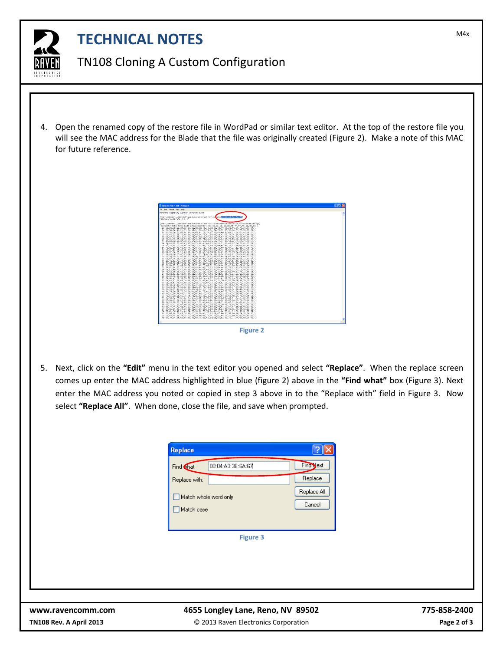

## **TECHNICAL NOTES TECHNICAL NOTES**

## TN108 Cloning A Custom Configuration

4. Open the renamed copy of the restore file in WordPad or similar text editor. At the top of the restore file you will see the MAC address for the Blade that the file was originally created (Figure 2). Make a note of this MAC for future reference.





5. Next, click on the **"Edit"** menu in the text editor you opened and select **"Replace"**. When the replace screen comes up enter the MAC address highlighted in blue (figure 2) above in the **"Find what"** box (Figure 3). Next enter the MAC address you noted or copied in step 3 above in to the "Replace with" field in Figure 3. Now select **"Replace All"**. When done, close the file, and save when prompted.

| Replace               |                   |           |  |  |  |  |
|-----------------------|-------------------|-----------|--|--|--|--|
| Find Chat:            | 00:04:A3:3E:6A:67 | Find yext |  |  |  |  |
| Replace with:         |                   | Replace   |  |  |  |  |
| Match whole word only | Replace All       |           |  |  |  |  |
| ] Match case          | Cancel            |           |  |  |  |  |
|                       |                   |           |  |  |  |  |
| <b>Figure 3</b>       |                   |           |  |  |  |  |